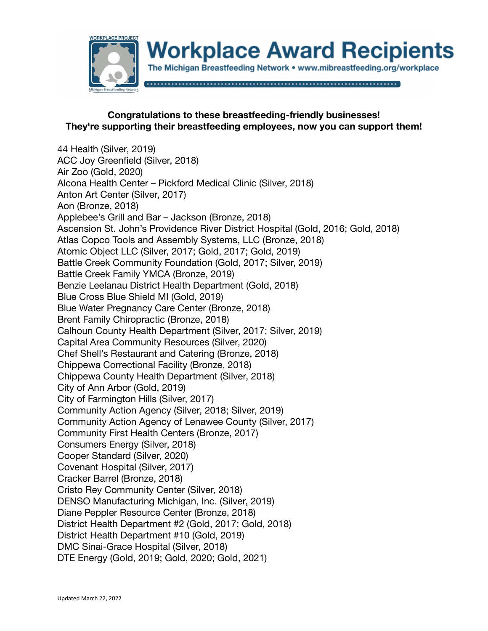

## **Congratulations to these breastfeeding-friendly businesses! They're supporting their breastfeeding employees, now you can support them!**

44 Health (Silver, 2019) ACC Joy Greenfield (Silver, 2018) Air Zoo (Gold, 2020) Alcona Health Center – Pickford Medical Clinic (Silver, 2018) Anton Art Center (Silver, 2017) Aon (Bronze, 2018) Applebee's Grill and Bar – Jackson (Bronze, 2018) Ascension St. John's Providence River District Hospital (Gold, 2016; Gold, 2018) Atlas Copco Tools and Assembly Systems, LLC (Bronze, 2018) Atomic Object LLC (Silver, 2017; Gold, 2017; Gold, 2019) Battle Creek Community Foundation (Gold, 2017; Silver, 2019) Battle Creek Family YMCA (Bronze, 2019) Benzie Leelanau District Health Department (Gold, 2018) Blue Cross Blue Shield MI (Gold, 2019) Blue Water Pregnancy Care Center (Bronze, 2018) Brent Family Chiropractic (Bronze, 2018) Calhoun County Health Department (Silver, 2017; Silver, 2019) Capital Area Community Resources (Silver, 2020) Chef Shell's Restaurant and Catering (Bronze, 2018) Chippewa Correctional Facility (Bronze, 2018) Chippewa County Health Department (Silver, 2018) City of Ann Arbor (Gold, 2019) City of Farmington Hills (Silver, 2017) Community Action Agency (Silver, 2018; Silver, 2019) Community Action Agency of Lenawee County (Silver, 2017) Community First Health Centers (Bronze, 2017) Consumers Energy (Silver, 2018) Cooper Standard (Silver, 2020) Covenant Hospital (Silver, 2017) Cracker Barrel (Bronze, 2018) Cristo Rey Community Center (Silver, 2018) DENSO Manufacturing Michigan, Inc. (Silver, 2019) Diane Peppler Resource Center (Bronze, 2018) District Health Department #2 (Gold, 2017; Gold, 2018) District Health Department #10 (Gold, 2019) DMC Sinai-Grace Hospital (Silver, 2018) DTE Energy (Gold, 2019; Gold, 2020; Gold, 2021)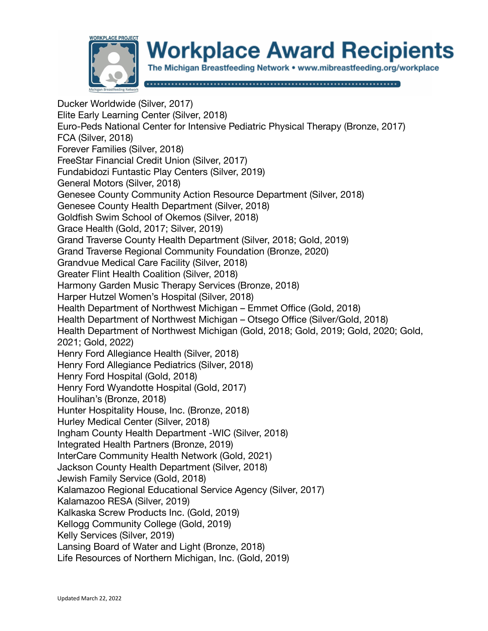

## **Workplace Award Recipients**

The Michigan Breastfeeding Network • www.mibreastfeeding.org/workplace

Ducker Worldwide (Silver, 2017) Elite Early Learning Center (Silver, 2018) Euro-Peds National Center for Intensive Pediatric Physical Therapy (Bronze, 2017) FCA (Silver, 2018) Forever Families (Silver, 2018) FreeStar Financial Credit Union (Silver, 2017) Fundabidozi Funtastic Play Centers (Silver, 2019) General Motors (Silver, 2018) Genesee County Community Action Resource Department (Silver, 2018) Genesee County Health Department (Silver, 2018) Goldfish Swim School of Okemos (Silver, 2018) Grace Health (Gold, 2017; Silver, 2019) Grand Traverse County Health Department (Silver, 2018; Gold, 2019) Grand Traverse Regional Community Foundation (Bronze, 2020) Grandvue Medical Care Facility (Silver, 2018) Greater Flint Health Coalition (Silver, 2018) Harmony Garden Music Therapy Services (Bronze, 2018) Harper Hutzel Women's Hospital (Silver, 2018) Health Department of Northwest Michigan – Emmet Office (Gold, 2018) Health Department of Northwest Michigan – Otsego Office (Silver/Gold, 2018) Health Department of Northwest Michigan (Gold, 2018; Gold, 2019; Gold, 2020; Gold, 2021; Gold, 2022) Henry Ford Allegiance Health (Silver, 2018) Henry Ford Allegiance Pediatrics (Silver, 2018) Henry Ford Hospital (Gold, 2018) Henry Ford Wyandotte Hospital (Gold, 2017) Houlihan's (Bronze, 2018) Hunter Hospitality House, Inc. (Bronze, 2018) Hurley Medical Center (Silver, 2018) Ingham County Health Department -WIC (Silver, 2018) Integrated Health Partners (Bronze, 2019) InterCare Community Health Network (Gold, 2021) Jackson County Health Department (Silver, 2018) Jewish Family Service (Gold, 2018) Kalamazoo Regional Educational Service Agency (Silver, 2017) Kalamazoo RESA (Silver, 2019) Kalkaska Screw Products Inc. (Gold, 2019) Kellogg Community College (Gold, 2019) Kelly Services (Silver, 2019) Lansing Board of Water and Light (Bronze, 2018) Life Resources of Northern Michigan, Inc. (Gold, 2019)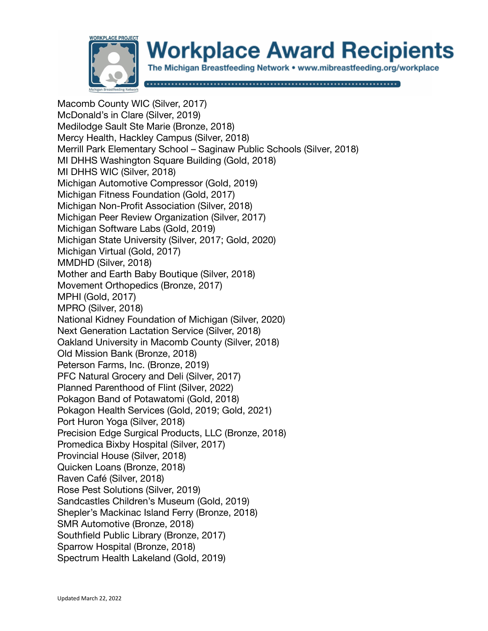

Macomb County WIC (Silver, 2017) McDonald's in Clare (Silver, 2019) Medilodge Sault Ste Marie (Bronze, 2018) Mercy Health, Hackley Campus (Silver, 2018) Merrill Park Elementary School – Saginaw Public Schools (Silver, 2018) MI DHHS Washington Square Building (Gold, 2018) MI DHHS WIC (Silver, 2018) Michigan Automotive Compressor (Gold, 2019) Michigan Fitness Foundation (Gold, 2017) Michigan Non-Profit Association (Silver, 2018) Michigan Peer Review Organization (Silver, 2017) Michigan Software Labs (Gold, 2019) Michigan State University (Silver, 2017; Gold, 2020) Michigan Virtual (Gold, 2017) MMDHD (Silver, 2018) Mother and Earth Baby Boutique (Silver, 2018) Movement Orthopedics (Bronze, 2017) MPHI (Gold, 2017) MPRO (Silver, 2018) National Kidney Foundation of Michigan (Silver, 2020) Next Generation Lactation Service (Silver, 2018) Oakland University in Macomb County (Silver, 2018) Old Mission Bank (Bronze, 2018) Peterson Farms, Inc. (Bronze, 2019) PFC Natural Grocery and Deli (Silver, 2017) Planned Parenthood of Flint (Silver, 2022) Pokagon Band of Potawatomi (Gold, 2018) Pokagon Health Services (Gold, 2019; Gold, 2021) Port Huron Yoga (Silver, 2018) Precision Edge Surgical Products, LLC (Bronze, 2018) Promedica Bixby Hospital (Silver, 2017) Provincial House (Silver, 2018) Quicken Loans (Bronze, 2018) Raven Café (Silver, 2018) Rose Pest Solutions (Silver, 2019) Sandcastles Children's Museum (Gold, 2019) Shepler's Mackinac Island Ferry (Bronze, 2018) SMR Automotive (Bronze, 2018) Southfield Public Library (Bronze, 2017) Sparrow Hospital (Bronze, 2018) Spectrum Health Lakeland (Gold, 2019)